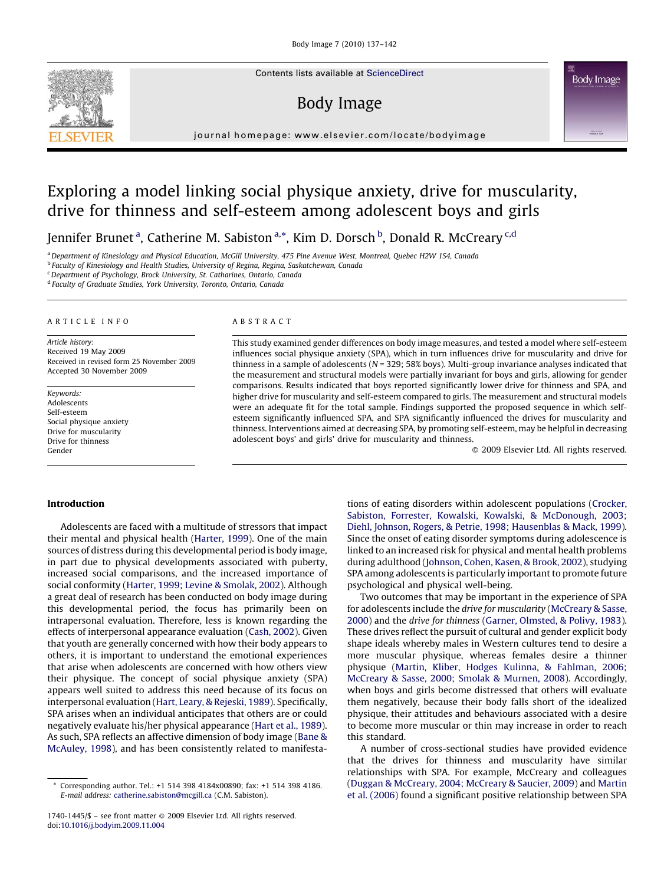Contents lists available at [ScienceDirect](http://www.sciencedirect.com/science/journal/17401445)

## Body Image

journal homepage: www.elsevier.com/locate/bodyimage

# Exploring a model linking social physique anxiety, drive for muscularity, drive for thinness and self-esteem among adolescent boys and girls

Jennifer Brunet <sup>a</sup>, Catherine M. Sabiston <sup>a,\*</sup>, Kim D. Dorsch <sup>b</sup>, Donald R. McCreary <sup>c,d</sup>

a Department of Kinesiology and Physical Education, McGill University, 475 Pine Avenue West, Montreal, Quebec H2W 1S4, Canada

**b Faculty of Kinesiology and Health Studies, University of Regina, Regina, Saskatchewan, Canada** 

<sup>c</sup>Department of Psychology, Brock University, St. Catharines, Ontario, Canada

<sup>d</sup> Faculty of Graduate Studies, York University, Toronto, Ontario, Canada

## ARTICLE INFO

Article history: Received 19 May 2009 Received in revised form 25 November 2009 Accepted 30 November 2009

Keywords: **Adolescents** Self-esteem Social physique anxiety Drive for muscularity Drive for thinness Gender

#### ABSTRACT

This study examined gender differences on body image measures, and tested a model where self-esteem influences social physique anxiety (SPA), which in turn influences drive for muscularity and drive for thinness in a sample of adolescents ( $N = 329$ ; 58% boys). Multi-group invariance analyses indicated that the measurement and structural models were partially invariant for boys and girls, allowing for gender comparisons. Results indicated that boys reported significantly lower drive for thinness and SPA, and higher drive for muscularity and self-esteem compared to girls. The measurement and structural models were an adequate fit for the total sample. Findings supported the proposed sequence in which selfesteem significantly influenced SPA, and SPA significantly influenced the drives for muscularity and thinness. Interventions aimed at decreasing SPA, by promoting self-esteem, may be helpful in decreasing adolescent boys' and girls' drive for muscularity and thinness.

 $\odot$  2009 Elsevier Ltd. All rights reserved.

#### Introduction

Adolescents are faced with a multitude of stressors that impact their mental and physical health [\(Harter, 1999](#page--1-0)). One of the main sources of distress during this developmental period is body image, in part due to physical developments associated with puberty, increased social comparisons, and the increased importance of social conformity [\(Harter, 1999; Levine & Smolak, 2002](#page--1-0)). Although a great deal of research has been conducted on body image during this developmental period, the focus has primarily been on intrapersonal evaluation. Therefore, less is known regarding the effects of interpersonal appearance evaluation [\(Cash, 2002](#page--1-0)). Given that youth are generally concerned with how their body appears to others, it is important to understand the emotional experiences that arise when adolescents are concerned with how others view their physique. The concept of social physique anxiety (SPA) appears well suited to address this need because of its focus on interpersonal evaluation [\(Hart, Leary, & Rejeski, 1989](#page--1-0)). Specifically, SPA arises when an individual anticipates that others are or could negatively evaluate his/her physical appearance ([Hart et al., 1989\)](#page--1-0). As such, SPA reflects an affective dimension of body image [\(Bane &](#page--1-0) [McAuley, 1998](#page--1-0)), and has been consistently related to manifestations of eating disorders within adolescent populations [\(Crocker,](#page--1-0) [Sabiston, Forrester, Kowalski, Kowalski, & McDonough, 2003;](#page--1-0) [Diehl, Johnson, Rogers, & Petrie, 1998; Hausenblas & Mack, 1999\)](#page--1-0). Since the onset of eating disorder symptoms during adolescence is linked to an increased risk for physical and mental health problems during adulthood [\(Johnson, Cohen, Kasen, & Brook, 2002\)](#page--1-0), studying SPA among adolescents is particularly important to promote future psychological and physical well-being.

Two outcomes that may be important in the experience of SPA for adolescents include the drive for muscularity [\(McCreary & Sasse,](#page--1-0) [2000\)](#page--1-0) and the drive for thinness ([Garner, Olmsted, & Polivy, 1983\)](#page--1-0). These drives reflect the pursuit of cultural and gender explicit body shape ideals whereby males in Western cultures tend to desire a more muscular physique, whereas females desire a thinner physique ([Martin, Kliber, Hodges Kulinna, & Fahlman, 2006;](#page--1-0) [McCreary & Sasse, 2000; Smolak & Murnen, 2008\)](#page--1-0). Accordingly, when boys and girls become distressed that others will evaluate them negatively, because their body falls short of the idealized physique, their attitudes and behaviours associated with a desire to become more muscular or thin may increase in order to reach this standard.

A number of cross-sectional studies have provided evidence that the drives for thinness and muscularity have similar relationships with SPA. For example, McCreary and colleagues ([Duggan & McCreary, 2004; McCreary & Saucier, 2009](#page--1-0)) and [Martin](#page--1-0) [et al. \(2006\)](#page--1-0) found a significant positive relationship between SPA



Corresponding author. Tel.: +1 514 398 4184x00890; fax: +1 514 398 4186. E-mail address: [catherine.sabiston@mcgill.ca](mailto:catherine.sabiston@mcgill.ca) (C.M. Sabiston).

<sup>1740-1445/\$ -</sup> see front matter @ 2009 Elsevier Ltd. All rights reserved. doi:[10.1016/j.bodyim.2009.11.004](http://dx.doi.org/10.1016/j.bodyim.2009.11.004)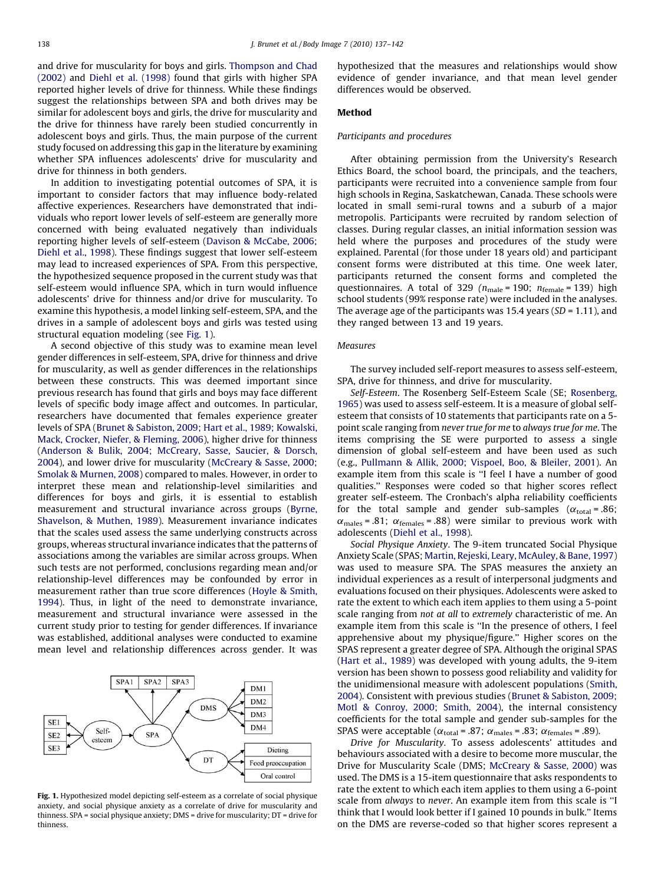and drive for muscularity for boys and girls. [Thompson and Chad](#page--1-0) [\(2002\)](#page--1-0) and [Diehl et al. \(1998\)](#page--1-0) found that girls with higher SPA reported higher levels of drive for thinness. While these findings suggest the relationships between SPA and both drives may be similar for adolescent boys and girls, the drive for muscularity and the drive for thinness have rarely been studied concurrently in adolescent boys and girls. Thus, the main purpose of the current study focused on addressing this gap in the literature by examining whether SPA influences adolescents' drive for muscularity and drive for thinness in both genders.

In addition to investigating potential outcomes of SPA, it is important to consider factors that may influence body-related affective experiences. Researchers have demonstrated that individuals who report lower levels of self-esteem are generally more concerned with being evaluated negatively than individuals reporting higher levels of self-esteem [\(Davison & McCabe, 2006;](#page--1-0) [Diehl et al., 1998\)](#page--1-0). These findings suggest that lower self-esteem may lead to increased experiences of SPA. From this perspective, the hypothesized sequence proposed in the current study was that self-esteem would influence SPA, which in turn would influence adolescents' drive for thinness and/or drive for muscularity. To examine this hypothesis, a model linking self-esteem, SPA, and the drives in a sample of adolescent boys and girls was tested using structural equation modeling (see Fig. 1).

A second objective of this study was to examine mean level gender differences in self-esteem, SPA, drive for thinness and drive for muscularity, as well as gender differences in the relationships between these constructs. This was deemed important since previous research has found that girls and boys may face different levels of specific body image affect and outcomes. In particular, researchers have documented that females experience greater levels of SPA ([Brunet & Sabiston, 2009; Hart et al., 1989; Kowalski,](#page--1-0) [Mack, Crocker, Niefer, & Fleming, 2006\)](#page--1-0), higher drive for thinness ([Anderson & Bulik, 2004; McCreary, Sasse, Saucier, & Dorsch,](#page--1-0) [2004\)](#page--1-0), and lower drive for muscularity ([McCreary & Sasse, 2000;](#page--1-0) [Smolak & Murnen, 2008](#page--1-0)) compared to males. However, in order to interpret these mean and relationship-level similarities and differences for boys and girls, it is essential to establish measurement and structural invariance across groups ([Byrne,](#page--1-0) [Shavelson, & Muthen, 1989\)](#page--1-0). Measurement invariance indicates that the scales used assess the same underlying constructs across groups, whereas structural invariance indicates that the patterns of associations among the variables are similar across groups. When such tests are not performed, conclusions regarding mean and/or relationship-level differences may be confounded by error in measurement rather than true score differences [\(Hoyle & Smith,](#page--1-0) [1994](#page--1-0)). Thus, in light of the need to demonstrate invariance, measurement and structural invariance were assessed in the current study prior to testing for gender differences. If invariance was established, additional analyses were conducted to examine mean level and relationship differences across gender. It was



Fig. 1. Hypothesized model depicting self-esteem as a correlate of social physique anxiety, and social physique anxiety as a correlate of drive for muscularity and thinness. SPA = social physique anxiety; DMS = drive for muscularity; DT = drive for thinness.

hypothesized that the measures and relationships would show evidence of gender invariance, and that mean level gender differences would be observed.

### Method

#### Participants and procedures

After obtaining permission from the University's Research Ethics Board, the school board, the principals, and the teachers, participants were recruited into a convenience sample from four high schools in Regina, Saskatchewan, Canada. These schools were located in small semi-rural towns and a suburb of a major metropolis. Participants were recruited by random selection of classes. During regular classes, an initial information session was held where the purposes and procedures of the study were explained. Parental (for those under 18 years old) and participant consent forms were distributed at this time. One week later, participants returned the consent forms and completed the questionnaires. A total of 329 ( $n_{\text{male}} = 190$ ;  $n_{\text{female}} = 139$ ) high school students (99% response rate) were included in the analyses. The average age of the participants was 15.4 years ( $SD = 1.11$ ), and they ranged between 13 and 19 years.

#### Measures

The survey included self-report measures to assess self-esteem, SPA, drive for thinness, and drive for muscularity.

Self-Esteem. The Rosenberg Self-Esteem Scale (SE; [Rosenberg,](#page--1-0) [1965](#page--1-0)) was used to assess self-esteem. It is a measure of global selfesteem that consists of 10 statements that participants rate on a 5 point scale ranging from never true for me to always true for me. The items comprising the SE were purported to assess a single dimension of global self-esteem and have been used as such (e.g., [Pullmann & Allik, 2000; Vispoel, Boo, & Bleiler, 2001\)](#page--1-0). An example item from this scale is ''I feel I have a number of good qualities.'' Responses were coded so that higher scores reflect greater self-esteem. The Cronbach's alpha reliability coefficients for the total sample and gender sub-samples  $(\alpha_{total} = .86)$ ;  $\alpha_{\text{males}}$  = .81;  $\alpha_{\text{females}}$  = .88) were similar to previous work with adolescents [\(Diehl et al., 1998](#page--1-0)).

Social Physique Anxiety. The 9-item truncated Social Physique Anxiety Scale (SPAS; [Martin, Rejeski, Leary, McAuley, & Bane, 1997\)](#page--1-0) was used to measure SPA. The SPAS measures the anxiety an individual experiences as a result of interpersonal judgments and evaluations focused on their physiques. Adolescents were asked to rate the extent to which each item applies to them using a 5-point scale ranging from not at all to extremely characteristic of me. An example item from this scale is ''In the presence of others, I feel apprehensive about my physique/figure.'' Higher scores on the SPAS represent a greater degree of SPA. Although the original SPAS ([Hart et al., 1989\)](#page--1-0) was developed with young adults, the 9-item version has been shown to possess good reliability and validity for the unidimensional measure with adolescent populations [\(Smith,](#page--1-0) [2004\)](#page--1-0). Consistent with previous studies [\(Brunet & Sabiston, 2009;](#page--1-0) [Motl & Conroy, 2000; Smith, 2004\)](#page--1-0), the internal consistency coefficients for the total sample and gender sub-samples for the SPAS were acceptable ( $\alpha_{\text{total}}$  = .87;  $\alpha_{\text{males}}$  = .83;  $\alpha_{\text{females}}$  = .89).

Drive for Muscularity. To assess adolescents' attitudes and behaviours associated with a desire to become more muscular, the Drive for Muscularity Scale (DMS; [McCreary & Sasse, 2000](#page--1-0)) was used. The DMS is a 15-item questionnaire that asks respondents to rate the extent to which each item applies to them using a 6-point scale from always to never. An example item from this scale is ''I think that I would look better if I gained 10 pounds in bulk.'' Items on the DMS are reverse-coded so that higher scores represent a